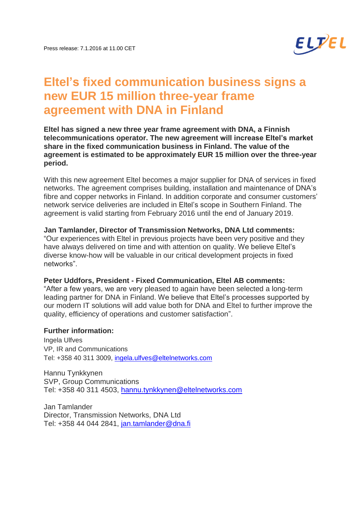

# **Eltel's fixed communication business signs a new EUR 15 million three-year frame agreement with DNA in Finland**

**Eltel has signed a new three year frame agreement with DNA, a Finnish telecommunications operator. The new agreement will increase Eltel's market share in the fixed communication business in Finland. The value of the agreement is estimated to be approximately EUR 15 million over the three-year period.**

With this new agreement Eltel becomes a major supplier for DNA of services in fixed networks. The agreement comprises building, installation and maintenance of DNA's fibre and copper networks in Finland. In addition corporate and consumer customers' network service deliveries are included in Eltel's scope in Southern Finland. The agreement is valid starting from February 2016 until the end of January 2019.

## **Jan Tamlander, Director of Transmission Networks, DNA Ltd comments:**

"Our experiences with Eltel in previous projects have been very positive and they have always delivered on time and with attention on quality. We believe Eltel's diverse know-how will be valuable in our critical development projects in fixed networks".

## **Peter Uddfors, President - Fixed Communication, Eltel AB comments:**

"After a few years, we are very pleased to again have been selected a long-term leading partner for DNA in Finland. We believe that Eltel's processes supported by our modern IT solutions will add value both for DNA and Eltel to further improve the quality, efficiency of operations and customer satisfaction".

## **Further information:**

Ingela Ulfves VP, IR and Communications Tel: +358 40 311 3009, [ingela.ulfves@eltelnetworks.com](mailto:ingela.ulfves@eltelnetworks.com)

Hannu Tynkkynen SVP, Group Communications Tel: +358 40 311 4503, [hannu.tynkkynen@eltelnetworks.com](mailto:hannu.tynkkynen@eltelnetworks.com)

Jan Tamlander Director, Transmission Networks, DNA Ltd Tel: +358 44 044 2841, [jan.tamlander@dna.fi](mailto:jan.tamlander@dna.fi)